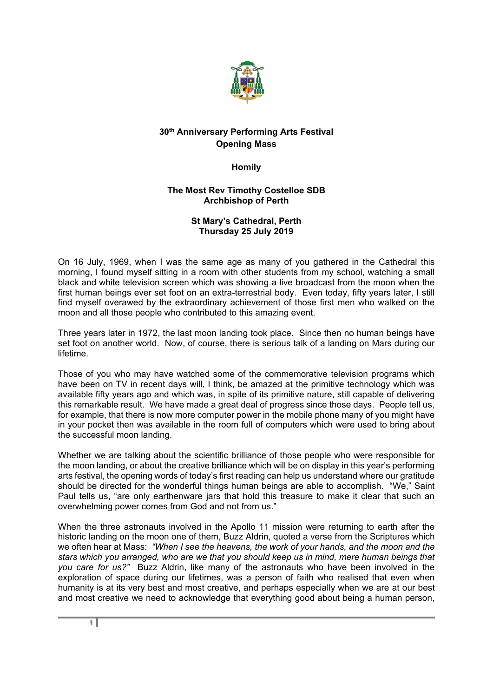

## **30th Anniversary Performing Arts Festival Opening Mass**

**Homily** 

## **The Most Rev Timothy Costelloe SDB Archbishop of Perth**

## **St Mary's Cathedral, Perth Thursday 25 July 2019**

On 16 July, 1969, when I was the same age as many of you gathered in the Cathedral this morning, I found myself sitting in a room with other students from my school, watching a small black and white television screen which was showing a live broadcast from the moon when the first human beings ever set foot on an extra-terrestrial body. Even today, fifty years later, I still find myself overawed by the extraordinary achievement of those first men who walked on the moon and all those people who contributed to this amazing event.

Three years later in 1972, the last moon landing took place. Since then no human beings have set foot on another world. Now, of course, there is serious talk of a landing on Mars during our lifetime.

Those of you who may have watched some of the commemorative television programs which have been on TV in recent days will, I think, be amazed at the primitive technology which was available fifty years ago and which was, in spite of its primitive nature, still capable of delivering this remarkable result. We have made a great deal of progress since those days. People tell us, for example, that there is now more computer power in the mobile phone many of you might have in your pocket then was available in the room full of computers which were used to bring about the successful moon landing.

Whether we are talking about the scientific brilliance of those people who were responsible for the moon landing, or about the creative brilliance which will be on display in this year's performing arts festival, the opening words of today's first reading can help us understand where our gratitude should be directed for the wonderful things human beings are able to accomplish. "We," Saint Paul tells us, "are only earthenware jars that hold this treasure to make it clear that such an overwhelming power comes from God and not from us."

When the three astronauts involved in the Apollo 11 mission were returning to earth after the historic landing on the moon one of them, Buzz Aldrin, quoted a verse from the Scriptures which we often hear at Mass: *"When I see the heavens, the work of your hands, and the moon and the stars which you arranged, who are we that you should keep us in mind, mere human beings that you care for us?"* Buzz Aldrin, like many of the astronauts who have been involved in the exploration of space during our lifetimes, was a person of faith who realised that even when humanity is at its very best and most creative, and perhaps especially when we are at our best and most creative we need to acknowledge that everything good about being a human person,